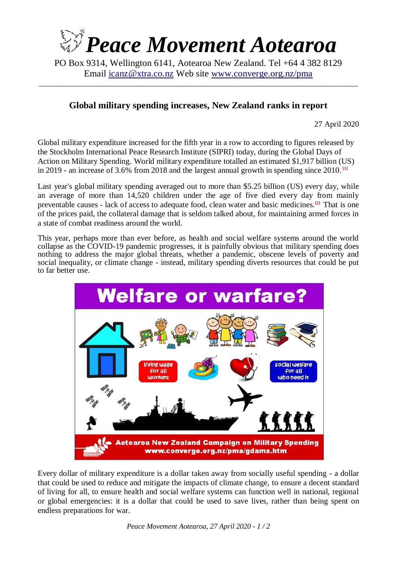

PO Box 9314, Wellington 6141, Aotearoa New Zealand. Tel +64 4 382 8129 Email [icanz@xtra.co.nz](mailto:icanz@xtra.co.nz) Web site [www.converge.org.nz/pma](http://www.converge.org.nz/pma)

\_\_\_\_\_\_\_\_\_\_\_\_\_\_\_\_\_\_\_\_\_\_\_\_\_\_\_\_\_\_\_\_\_\_\_\_\_\_\_\_\_\_\_\_\_\_\_\_\_\_\_\_\_\_\_\_\_\_\_\_\_\_\_\_\_\_\_\_\_\_\_\_\_\_\_\_\_\_\_\_\_\_\_\_\_\_\_

## **Global military spending increases, New Zealand ranks in report**

27 April 2020

Global military expenditure increased for the fifth year in a row to according to figures released by the Stockholm International Peace Research Institute (SIPRI) today, during the Global Days of Action on Military Spending. World military expenditure totalled an estimated \$1,917 billion (US) in 2019 - an increase of 3.6% from 2018 and the largest annual growth in spending since 2010. **[1]**

Last year's global military spending averaged out to more than \$5.25 billion (US) every day, while an average of more than 14,520 children under the age of five died every day from mainly preventable causes - lack of access to adequate food, clean water and basic medicines.**[2]** That is one of the prices paid, the collateral damage that is seldom talked about, for maintaining armed forces in a state of combat readiness around the world.

This year, perhaps more than ever before, as health and social welfare systems around the world collapse as the COVID-19 pandemic progresses, it is painfully obvious that military spending does nothing to address the major global threats, whether a pandemic, obscene levels of poverty and social inequality, or climate change - instead, military spending diverts resources that could be put to far better use.



Every dollar of military expenditure is a dollar taken away from socially useful spending - a dollar that could be used to reduce and mitigate the impacts of climate change, to ensure a decent standard of living for all, to ensure health and social welfare systems can function well in national, regional or global emergencies: it is a dollar that could be used to save lives, rather than being spent on endless preparations for war.